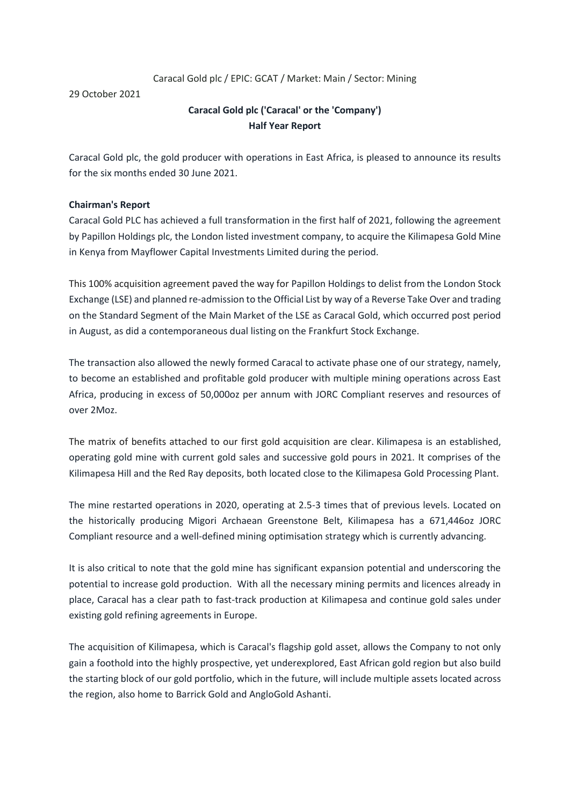# Caracal Gold plc / EPIC: GCAT / Market: Main / Sector: Mining

29 October 2021

# **Caracal Gold plc ('Caracal' or the 'Company') Half Year Report**

Caracal Gold plc, the gold producer with operations in East Africa, is pleased to announce its results for the six months ended 30 June 2021.

# **Chairman's Report**

Caracal Gold PLC has achieved a full transformation in the first half of 2021, following the agreement by Papillon Holdings plc, the London listed investment company, to acquire the Kilimapesa Gold Mine in Kenya from Mayflower Capital Investments Limited during the period.

This 100% acquisition agreement paved the way for Papillon Holdings to delist from the London Stock Exchange (LSE) and planned re-admission to the Official List by way of a Reverse Take Over and trading on the Standard Segment of the Main Market of the LSE as Caracal Gold, which occurred post period in August, as did a contemporaneous dual listing on the Frankfurt Stock Exchange.

The transaction also allowed the newly formed Caracal to activate phase one of our strategy, namely, to become an established and profitable gold producer with multiple mining operations across East Africa, producing in excess of 50,000oz per annum with JORC Compliant reserves and resources of over 2Moz.

The matrix of benefits attached to our first gold acquisition are clear. Kilimapesa is an established, operating gold mine with current gold sales and successive gold pours in 2021. It comprises of the Kilimapesa Hill and the Red Ray deposits, both located close to the Kilimapesa Gold Processing Plant.

The mine restarted operations in 2020, operating at 2.5-3 times that of previous levels. Located on the historically producing Migori Archaean Greenstone Belt, Kilimapesa has a 671,446oz JORC Compliant resource and a well-defined mining optimisation strategy which is currently advancing.

It is also critical to note that the gold mine has significant expansion potential and underscoring the potential to increase gold production. With all the necessary mining permits and licences already in place, Caracal has a clear path to fast-track production at Kilimapesa and continue gold sales under existing gold refining agreements in Europe.

The acquisition of Kilimapesa, which is Caracal's flagship gold asset, allows the Company to not only gain a foothold into the highly prospective, yet underexplored, East African gold region but also build the starting block of our gold portfolio, which in the future, will include multiple assets located across the region, also home to Barrick Gold and AngloGold Ashanti.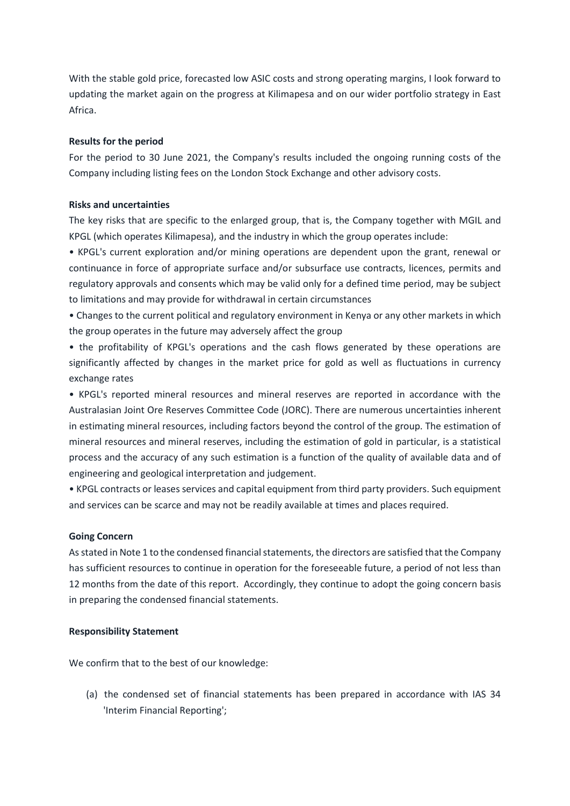With the stable gold price, forecasted low ASIC costs and strong operating margins, I look forward to updating the market again on the progress at Kilimapesa and on our wider portfolio strategy in East Africa.

## **Results for the period**

For the period to 30 June 2021, the Company's results included the ongoing running costs of the Company including listing fees on the London Stock Exchange and other advisory costs.

# **Risks and uncertainties**

The key risks that are specific to the enlarged group, that is, the Company together with MGIL and KPGL (which operates Kilimapesa), and the industry in which the group operates include:

• KPGL's current exploration and/or mining operations are dependent upon the grant, renewal or continuance in force of appropriate surface and/or subsurface use contracts, licences, permits and regulatory approvals and consents which may be valid only for a defined time period, may be subject to limitations and may provide for withdrawal in certain circumstances

• Changes to the current political and regulatory environment in Kenya or any other markets in which the group operates in the future may adversely affect the group

• the profitability of KPGL's operations and the cash flows generated by these operations are significantly affected by changes in the market price for gold as well as fluctuations in currency exchange rates

• KPGL's reported mineral resources and mineral reserves are reported in accordance with the Australasian Joint Ore Reserves Committee Code (JORC). There are numerous uncertainties inherent in estimating mineral resources, including factors beyond the control of the group. The estimation of mineral resources and mineral reserves, including the estimation of gold in particular, is a statistical process and the accuracy of any such estimation is a function of the quality of available data and of engineering and geological interpretation and judgement.

• KPGL contracts or leases services and capital equipment from third party providers. Such equipment and services can be scarce and may not be readily available at times and places required.

### **Going Concern**

As stated in Note 1 to the condensed financial statements, the directors are satisfied that the Company has sufficient resources to continue in operation for the foreseeable future, a period of not less than 12 months from the date of this report. Accordingly, they continue to adopt the going concern basis in preparing the condensed financial statements.

### **Responsibility Statement**

We confirm that to the best of our knowledge:

(a) the condensed set of financial statements has been prepared in accordance with IAS 34 'Interim Financial Reporting';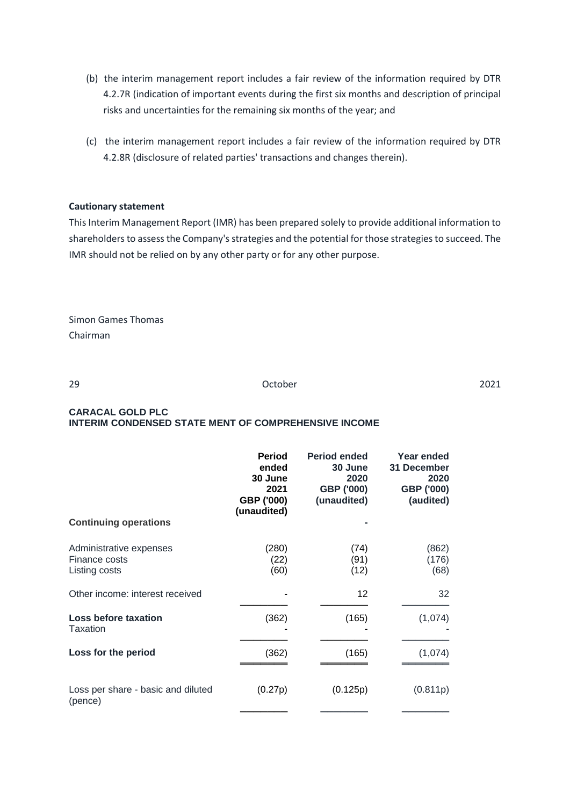- (b) the interim management report includes a fair review of the information required by DTR 4.2.7R (indication of important events during the first six months and description of principal risks and uncertainties for the remaining six months of the year; and
- (c) the interim management report includes a fair review of the information required by DTR 4.2.8R (disclosure of related parties' transactions and changes therein).

### **Cautionary statement**

This Interim Management Report (IMR) has been prepared solely to provide additional information to shareholders to assess the Company's strategies and the potential for those strategies to succeed. The IMR should not be relied on by any other party or for any other purpose.

Simon Games Thomas Chairman

29 October 2021

#### **CARACAL GOLD PLC INTERIM CONDENSED STATE MENT OF COMPREHENSIVE INCOME**

|                                                           | <b>Period</b><br>ended<br>30 June<br>2021<br>GBP ('000)<br>(unaudited) | <b>Period ended</b><br>30 June<br>2020<br>GBP ('000)<br>(unaudited) | Year ended<br>31 December<br>2020<br>GBP ('000)<br>(audited) |
|-----------------------------------------------------------|------------------------------------------------------------------------|---------------------------------------------------------------------|--------------------------------------------------------------|
| <b>Continuing operations</b>                              |                                                                        |                                                                     |                                                              |
| Administrative expenses<br>Finance costs<br>Listing costs | (280)<br>(22)<br>(60)                                                  | (74)<br>(91)<br>(12)                                                | (862)<br>(176)<br>(68)                                       |
| Other income: interest received                           |                                                                        | 12                                                                  | 32                                                           |
| Loss before taxation<br>Taxation                          | (362)                                                                  | (165)                                                               | (1,074)                                                      |
| Loss for the period                                       | (362)                                                                  | (165)                                                               | (1,074)                                                      |
| Loss per share - basic and diluted<br>(pence)             | (0.27p)                                                                | (0.125p)                                                            | (0.811p)                                                     |
|                                                           |                                                                        |                                                                     |                                                              |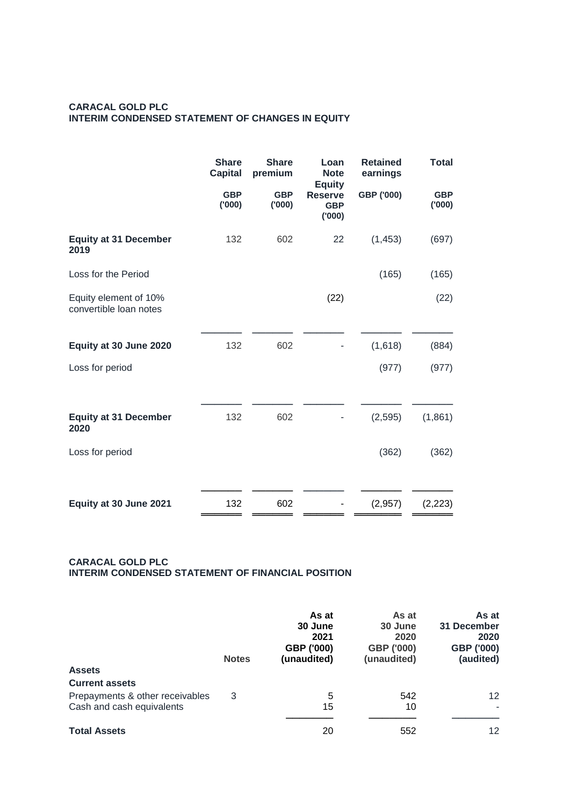# **CARACAL GOLD PLC INTERIM CONDENSED STATEMENT OF CHANGES IN EQUITY**

|                                                 | <b>Share</b><br><b>Capital</b> | <b>Share</b><br>premium | Loan<br><b>Note</b><br><b>Equity</b>  | <b>Retained</b><br>earnings | <b>Total</b>        |
|-------------------------------------------------|--------------------------------|-------------------------|---------------------------------------|-----------------------------|---------------------|
|                                                 | <b>GBP</b><br>(000)            | <b>GBP</b><br>(000)     | <b>Reserve</b><br><b>GBP</b><br>(000) | GBP ('000)                  | <b>GBP</b><br>(000) |
| <b>Equity at 31 December</b><br>2019            | 132                            | 602                     | 22                                    | (1, 453)                    | (697)               |
| Loss for the Period                             |                                |                         |                                       | (165)                       | (165)               |
| Equity element of 10%<br>convertible loan notes |                                |                         | (22)                                  |                             | (22)                |
| Equity at 30 June 2020                          | 132                            | 602                     |                                       | (1,618)                     | (884)               |
| Loss for period                                 |                                |                         |                                       | (977)                       | (977)               |
| <b>Equity at 31 December</b><br>2020            | 132                            | 602                     |                                       | (2, 595)                    | (1,861)             |
| Loss for period                                 |                                |                         |                                       | (362)                       | (362)               |
| Equity at 30 June 2021                          | 132                            | 602                     |                                       | (2,957)                     | (2, 223)            |

### **CARACAL GOLD PLC INTERIM CONDENSED STATEMENT OF FINANCIAL POSITION**

| <b>Assets</b>                                                | <b>Notes</b> | As at<br>30 June<br>2021<br>GBP ('000)<br>(unaudited) | As at<br>30 June<br>2020<br>GBP ('000)<br>(unaudited) | As at<br>31 December<br>2020<br>GBP ('000)<br>(audited) |
|--------------------------------------------------------------|--------------|-------------------------------------------------------|-------------------------------------------------------|---------------------------------------------------------|
| <b>Current assets</b>                                        |              |                                                       |                                                       |                                                         |
| Prepayments & other receivables<br>Cash and cash equivalents | 3            | 5<br>15                                               | 542<br>10                                             | 12<br>٠                                                 |
| <b>Total Assets</b>                                          |              | 20                                                    | 552                                                   | 12                                                      |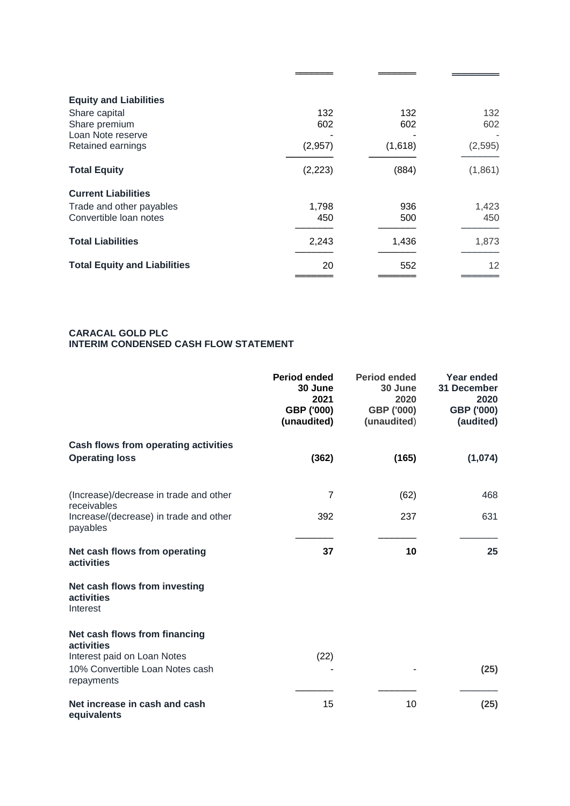| 132      | 132     | 132      |
|----------|---------|----------|
|          |         | 602      |
| (2,957)  | (1,618) | (2, 595) |
| (2, 223) | (884)   | (1,861)  |
|          |         |          |
| 1,798    | 936     | 1,423    |
| 450      | 500     | 450      |
| 2,243    | 1,436   | 1,873    |
| 20       | 552     | 12       |
|          | 602     | 602      |

═══════ ═══════ ═══════

#### **CARACAL GOLD PLC INTERIM CONDENSED CASH FLOW STATEMENT**

|                                                                              | Period ended<br>30 June<br>2021<br>GBP ('000)<br>(unaudited) | <b>Period ended</b><br>30 June<br>2020<br>GBP ('000)<br>(unaudited) | Year ended<br>31 December<br>2020<br>GBP ('000)<br>(audited) |
|------------------------------------------------------------------------------|--------------------------------------------------------------|---------------------------------------------------------------------|--------------------------------------------------------------|
| Cash flows from operating activities<br><b>Operating loss</b>                | (362)                                                        | (165)                                                               | (1,074)                                                      |
| (Increase)/decrease in trade and other<br>receivables                        | 7                                                            | (62)                                                                | 468                                                          |
| Increase/(decrease) in trade and other<br>payables                           | 392                                                          | 237                                                                 | 631                                                          |
| Net cash flows from operating<br>activities                                  | 37                                                           | 10                                                                  | 25                                                           |
| Net cash flows from investing<br>activities<br>Interest                      |                                                              |                                                                     |                                                              |
| Net cash flows from financing<br>activities                                  |                                                              |                                                                     |                                                              |
| Interest paid on Loan Notes<br>10% Convertible Loan Notes cash<br>repayments | (22)                                                         |                                                                     | (25)                                                         |
| Net increase in cash and cash<br>equivalents                                 | 15                                                           | 10                                                                  | (25)                                                         |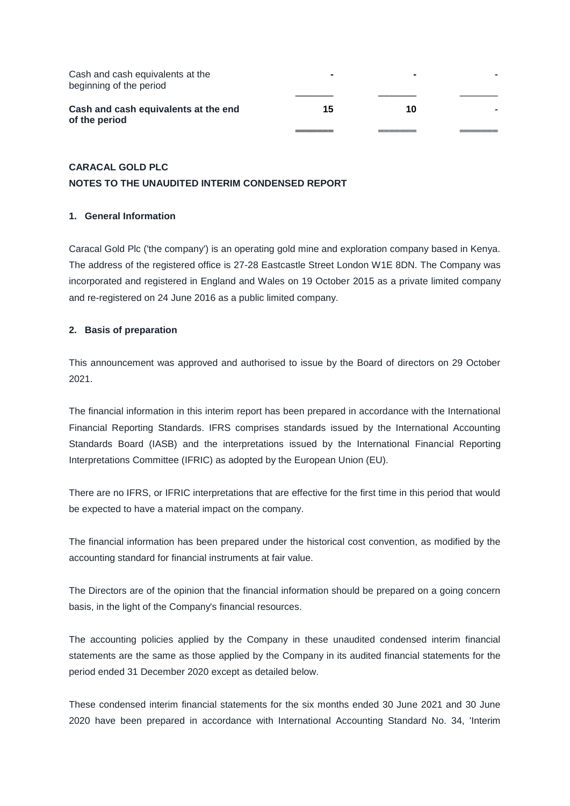| Cash and cash equivalents at the<br>beginning of the period |    | $\sim$ |  |
|-------------------------------------------------------------|----|--------|--|
| Cash and cash equivalents at the end<br>of the period       | 15 | 1 N    |  |
|                                                             |    |        |  |

# **CARACAL GOLD PLC NOTES TO THE UNAUDITED INTERIM CONDENSED REPORT**

# **1. General Information**

Caracal Gold Plc ('the company') is an operating gold mine and exploration company based in Kenya. The address of the registered office is 27-28 Eastcastle Street London W1E 8DN. The Company was incorporated and registered in England and Wales on 19 October 2015 as a private limited company and re-registered on 24 June 2016 as a public limited company.

# **2. Basis of preparation**

This announcement was approved and authorised to issue by the Board of directors on 29 October 2021.

The financial information in this interim report has been prepared in accordance with the International Financial Reporting Standards. IFRS comprises standards issued by the International Accounting Standards Board (IASB) and the interpretations issued by the International Financial Reporting Interpretations Committee (IFRIC) as adopted by the European Union (EU).

There are no IFRS, or IFRIC interpretations that are effective for the first time in this period that would be expected to have a material impact on the company.

The financial information has been prepared under the historical cost convention, as modified by the accounting standard for financial instruments at fair value.

The Directors are of the opinion that the financial information should be prepared on a going concern basis, in the light of the Company's financial resources.

The accounting policies applied by the Company in these unaudited condensed interim financial statements are the same as those applied by the Company in its audited financial statements for the period ended 31 December 2020 except as detailed below.

These condensed interim financial statements for the six months ended 30 June 2021 and 30 June 2020 have been prepared in accordance with International Accounting Standard No. 34, 'Interim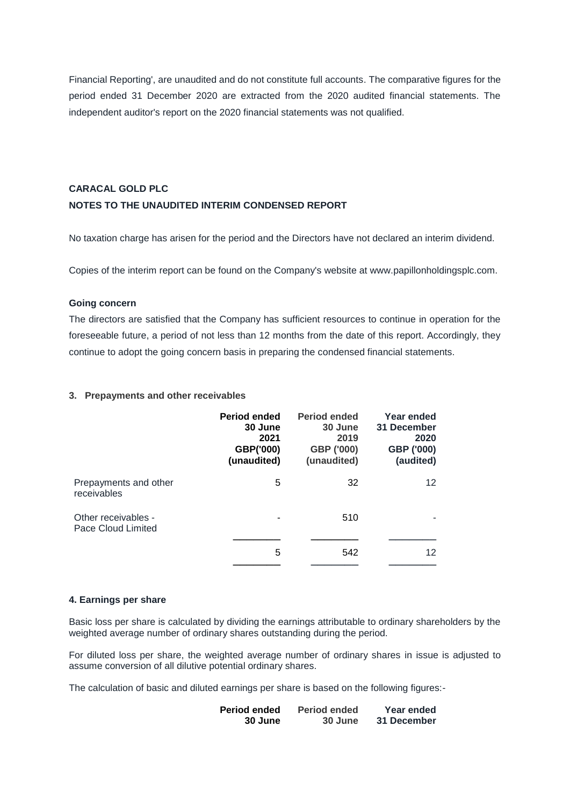Financial Reporting', are unaudited and do not constitute full accounts. The comparative figures for the period ended 31 December 2020 are extracted from the 2020 audited financial statements. The independent auditor's report on the 2020 financial statements was not qualified.

# **CARACAL GOLD PLC NOTES TO THE UNAUDITED INTERIM CONDENSED REPORT**

No taxation charge has arisen for the period and the Directors have not declared an interim dividend.

Copies of the interim report can be found on the Company's website at www.papillonholdingsplc.com.

### **Going concern**

The directors are satisfied that the Company has sufficient resources to continue in operation for the foreseeable future, a period of not less than 12 months from the date of this report. Accordingly, they continue to adopt the going concern basis in preparing the condensed financial statements.

### **3. Prepayments and other receivables**

|                                           | <b>Period ended</b><br>30 June<br>2021<br>GBP('000)<br>(unaudited) | <b>Period ended</b><br>30 June<br>2019<br>GBP ('000)<br>(unaudited) | Year ended<br>31 December<br>2020<br>GBP ('000)<br>(audited) |
|-------------------------------------------|--------------------------------------------------------------------|---------------------------------------------------------------------|--------------------------------------------------------------|
| Prepayments and other<br>receivables      | 5                                                                  | 32                                                                  | 12 <sup>2</sup>                                              |
| Other receivables -<br>Pace Cloud Limited |                                                                    | 510                                                                 |                                                              |
|                                           | 5                                                                  | 542                                                                 | 12                                                           |

#### **4. Earnings per share**

Basic loss per share is calculated by dividing the earnings attributable to ordinary shareholders by the weighted average number of ordinary shares outstanding during the period.

For diluted loss per share, the weighted average number of ordinary shares in issue is adjusted to assume conversion of all dilutive potential ordinary shares.

The calculation of basic and diluted earnings per share is based on the following figures:-

| <b>Period ended</b> | <b>Period ended</b> | Year ended  |
|---------------------|---------------------|-------------|
| 30 June             | 30 June             | 31 December |